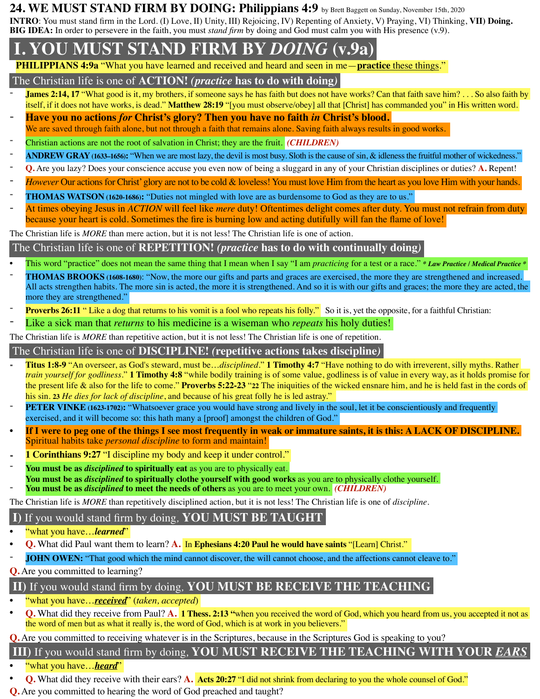#### **24. WE MUST STAND FIRM BY DOING: Philippians 4:9** by Brett Baggett on Sunday, November 15th, 2020

**INTRO**: You must stand firm in the Lord. (I) Love, II) Unity, III) Rejoicing, IV) Repenting of Anxiety, V) Praying, VI) Thinking, **VII) Doing. BIG IDEA:** In order to persevere in the faith, you must *stand firm* by doing and God must calm you with His presence (v.9).

# **I. YOU MUST STAND FIRM BY** *DOING* **(v.9a)**

**PHILIPPIANS 4:9a** "What you have learned and received and heard and seen in me—**practice** these things."

- The Christian life is one of ACTION! (*practice* has to do with doing)<br>Tames 2:14, 17 "What good is it, my brothers, if someone says he has faith but does not have works? Can that faith save him? . . . So also faith by itself, if it does not have works, is dead." **Matthew 28:19** "[you must observe/obey] all that [Christ] has commanded you" in His written word.
- ⁃ **Have you no actions** *for* **Christ's glory? Then you have no faith** *in* **Christ's blood.** We are saved through faith alone, but not through a faith that remains alone. Saving faith always results in good works.
- ⁃ Christian actions are not the root of salvation in Christ; they are the fruit. *(CHILDREN)*
- 
- ANDREW GRAY (1633–1656): "When we are most lazy, the devil is most busy. Sloth is the cause of sin, & idleness the fruitful mother of wickedness."
- ⁃ **Q.** Are you lazy? Does your conscience accuse you even now of being a sluggard in any of your Christian disciplines or duties? **A.** Repent!
- However Our actions for Christ' glory are not to be cold & loveless! You must love Him from the heart as you love Him with your hands.
- **THOMAS WATSON** (1620-1686): "Duties not mingled with love are as burdensome to God as they are to us."
- ⁃ At times obeying Jesus in *ACTION* will feel like *mere* duty! Oftentimes delight comes after duty. You must not refrain from duty because your heart is cold. Sometimes the fire is burning low and acting dutifully will fan the flame of love!

The Christian life is *MORE* than mere action, but it is not less! The Christian life is one of action.

## The Christian life is one of **REPETITION!** *(practice* **has to do with continually doing***)*

- This word "practice" does not mean the same thing that I mean when I say "I am *practicing* for a test or a race." *\* Law Practice / Medical Practice \**
- **THOMAS BROOKS** (1608-1680): "Now, the more our gifts and parts and graces are exercised, the more they are strengthened and increased. All acts strengthen habits. The more sin is acted, the more it is strengthened. And so it is with our gifts and graces; the more they are acted, the more they are strengthened."
- **Proverbs 26:11** " Like a dog that returns to his vomit is a fool who repeats his folly." So it is, yet the opposite, for a faithful Christian:
- Like a sick man that *returns* to his medicine is a wiseman who *repeats* his holy duties!

The Christian life is *MORE* than repetitive action, but it is not less! The Christian life is one of repetition.

## The Christian life is one of **DISCIPLINE!** *(***repetitive actions takes discipline***)*

- ⁃ **Titus 1:8-9** "An overseer, as God's steward, must be…*disciplined*." **1 Timothy 4:7** "Have nothing to do with irreverent, silly myths. Rather *train yourself for godliness.*" **1 Timothy 4:8** "while bodily training is of some value, godliness is of value in every way, as it holds promise for the present life & also for the life to come." **Proverbs 5:22-23** "**22** The iniquities of the wicked ensnare him, and he is held fast in the cords of his sin. **23** *He dies for lack of discipline*, and because of his great folly he is led astray."
- **PETER VINKE** (1623-1702): "Whatsoever grace you would have strong and lively in the soul, let it be conscientiously and frequently exercised, and it will become so: this hath many a [proof] amongst the children of God."
- **If I were to peg one of the things I see most frequently in weak or immature saints, it is this: A LACK OF DISCIPLINE.**  Spiritual habits take *personal discipline* to form and maintain!
- ⁃ **1 Corinthians 9:27** "I discipline my body and keep it under control."
- You must be as *disciplined* to spiritually eat as you are to physically eat. **You must be as** *disciplined* **to spiritually clothe yourself with good works** as you are to physically clothe yourself.
- You must be as *disciplined* to meet the needs of others as you are to meet your own. *(CHILDREN)*

The Christian life is *MORE* than repetitively disciplined action, but it is not less! The Christian life is one of *discipline*.

# **I)** If you would stand firm by doing*,* **YOU MUST BE TAUGHT**

- "what you have…*learned*"
- **Q.** What did Paul want them to learn? **A.** In **Ephesians 4:20 Paul he would have saints** "[Learn] Christ."
- **JOHN OWEN:** "That good which the mind cannot discover, the will cannot choose, and the affections cannot cleave to."

## **Q.** Are you committed to learning?

# **II)** If you would stand firm by doing*,* **YOU MUST BE RECEIVE THE TEACHING**

- "what you have…*received*" (*taken, accepted*)
- **Q.** What did they receive from Paul? **A. 1 Thess. 2:13 "**when you received the word of God, which you heard from us, you accepted it not as the word of men but as what it really is, the word of God, which is at work in you believers."

**Q.** Are you committed to receiving whatever is in the Scriptures, because in the Scriptures God is speaking to you?

# **III)** If you would stand firm by doing*,* **YOU MUST RECEIVE THE TEACHING WITH YOUR** *EARS*

- "what you have…*heard*"
- **Q.** What did they receive with their ears? **A. Acts 20:27** "I did not shrink from declaring to you the whole counsel of God."
- **Q.** Are you committed to hearing the word of God preached and taught?